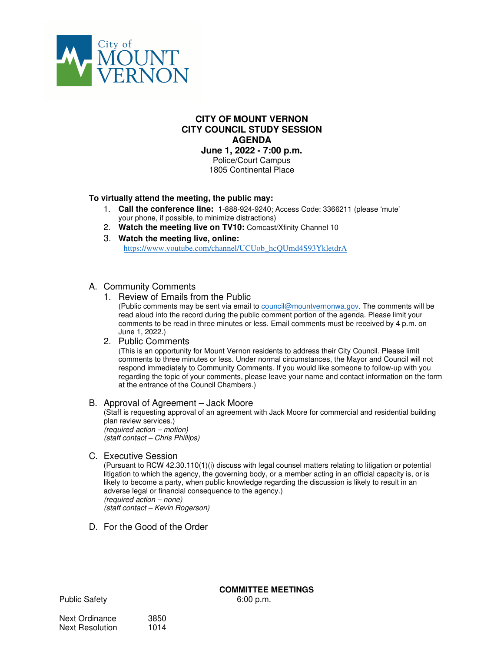

### **CITY OF MOUNT VERNON CITY COUNCIL STUDY SESSION AGENDA**

**June 1, 2022 - 7:00 p.m.** 

Police/Court Campus 1805 Continental Place

### **To virtually attend the meeting, the public may:**

- 1. **Call the conference line:** 1-888-924-9240; Access Code: 3366211 (please 'mute' your phone, if possible, to minimize distractions)
- 2. **Watch the meeting live on TV10:** Comcast/Xfinity Channel 10
- 3. **Watch the meeting live, online:**

https://www.youtube.com/channel/UCUob\_hcQUmd4S93YkletdrA

### A. Community Comments

1. Review of Emails from the Public

(Public comments may be sent via email to council@mountvernonwa.gov. The comments will be read aloud into the record during the public comment portion of the agenda. Please limit your comments to be read in three minutes or less. Email comments must be received by 4 p.m. on June 1, 2022.)

### 2. Public Comments

(This is an opportunity for Mount Vernon residents to address their City Council. Please limit comments to three minutes or less. Under normal circumstances, the Mayor and Council will not respond immediately to Community Comments. If you would like someone to follow-up with you regarding the topic of your comments, please leave your name and contact information on the form at the entrance of the Council Chambers.)

### B. Approval of Agreement – Jack Moore

(Staff is requesting approval of an agreement with Jack Moore for commercial and residential building plan review services.) (required action – motion) (staff contact – Chris Phillips)

## C. Executive Session

(Pursuant to RCW 42.30.110(1)(i) discuss with legal counsel matters relating to litigation or potential litigation to which the agency, the governing body, or a member acting in an official capacity is, or is likely to become a party, when public knowledge regarding the discussion is likely to result in an adverse legal or financial consequence to the agency.) (required action – none) (staff contact – Kevin Rogerson)

D. For the Good of the Order

Public Safety 6:00 p.m.

# **COMMITTEE MEETINGS**